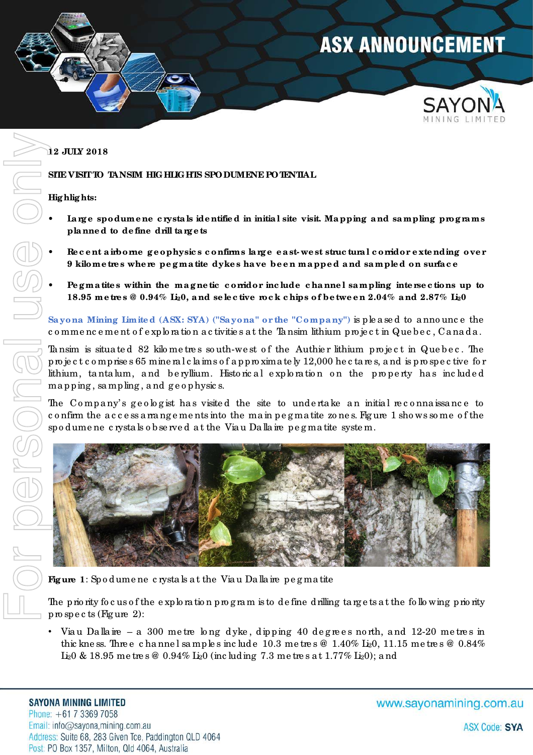

### **12 JULY 2018**

**SITE VISIT TO TANSIM HIGHLIGHTS SPODUMENE POTENTIAL** 

### **Hig hlig hts:**

- Large spodumene crystals identified in initial site visit. Mapping and sampling programs **pla nne d to de fine drill ta rg e ts**
- Re c e nt a irborne geophysics confirms large east-west struc tural corridor extending over **9 kilome tre s whe re pe g ma tite dyke s ha ve be e n ma ppe d a nd sa mple d on surfa c e**
- ï **Pe g ma tite s within the ma g ne tic c orridor inc lude c hanne l sa mpling inte rse c tions up to 18.95 me tre s @ 0.94% Li20, a nd se le c tive roc k c hips of be twe e n 2.04% a nd 2.87% Li20**

**Sa yona Mining Limite d (ASX: SYA) ("Sa yona " or the "Compa ny")** is ple a se d to a nno unc e the c o mme nc e me nt o f e xplo ra tio n a c tivitie s a t the Ta nsim lithium pro je c t in Que b e c , Ca na da .

Tansim is situated 82 kilometres south-west of the Authier lithium project in Quebec. The pro je c t c o mprise s 65 mine ra l c la ims o f a ppro xima te ly 12,000 he c ta re s, a nd is pro spe c tive fo r lithium, tanta lum, and be ryllium. Historical exploration on the property has included mapping, sampling, and geophysics.

The Company's geologist has visited the site to undertake an initial reconnaissance to c o nfirm the a c c e ss a rra ng e me nts into the ma in pe g ma tite zo ne s. Fig ure 1 sho ws so me o f the spo dume ne c rysta ls o b se rve d a t the Via u Da lla ire pe g ma tite syste m.



**Fig ure 1**: Spo dume ne c rysta ls a t the Via u Da lla ire pe g ma tite

The priority focus of the exploration program is to definedrilling targets at the following priority pro spe c ts (Fig ure 2):

Viau Dallaire – a 300 metre long dyke, dipping 40 degrees north, and 12-20 metres in thic kness. Three channels amples include 10.3 metres  $\omega$  1.40% Li<sub>2</sub>0, 11.15 metres  $\omega$  0.84% Li<sub>2</sub>0 & 18.95 me tre s @ 0.94% Li<sub>2</sub>0 (inc luding 7.3 me tre s at 1.77% Li<sub>2</sub>0); and

#### **SAYONA MINING LIMITED**

Phone:  $+61$  7 3369 7058 Email: info@sayona,mining.com.au Address: Suite 68, 283 Given Tce, Paddington QLD 4064 Post: PO Box 1357, Milton, Qld 4064, Australia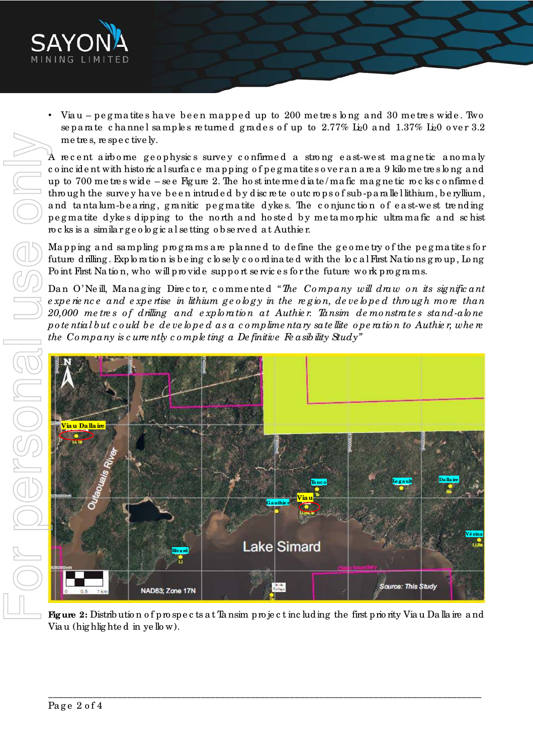

Viau – pegmatites have been mapped up to 200 metres long and 30 metres wide. Two separate channel samples returned grades of up to  $2.77\%$  L<sub>i2</sub>0 and  $1.37\%$  L<sub>i2</sub>0 over 3.2 me tre s, re spe c tive ly.

A recent airborne geophysics survey confirmed a strong east-west magnetic anomaly c o inc ide nt with histo ric a l surfa c e ma pping o f pe g ma tite s o ve r a n a re a 9 kilo me tre s lo ng a nd up to 700 me tre s wide – se e Fig ure 2. The ho st inte rme dia te / ma fic ma g ne tic ro c ks c o nfirme d through the survey have been intruded by discrete outcrops of sub-parallel lithium, be ryllium, and tanta lum-be a ring, granitic pegmatite dykes. The conjunction of east-west trending pe g ma tite dyke s dipping to the no rth a nd ho ste d b y me ta mo rphic ultra ma fic a nd sc hist ro c ks is a simila r g e o lo g ic a l se tting o b se rve d a t Authie r.

Mapping and sampling programs are planned to define the geometry of the pegmatites for future drilling . Explo ra tio n is b e ing c lo se ly c o o rdina te d with the lo c a l First Na tio ns g ro up, Lo ng Po int First Na tion, who will provide support services for the future work programs.

Da n O' Ne ill, Ma na g ing Dire c to r, c o mme nte d "*The Co mpany will draw o n its signific ant e xpe rie nc e and e xpe rtise in lithium ge o lo gy in the re gio n, de ve lo pe d thro ugh mo re than 20,000 me tre s o f drilling and e xplo ratio n at Authie r. Tansim de mo nstrate s stand-alo ne po te ntial but c o uld be de ve lo pe d as a c o mplime ntary sate llite o pe ratio n to Authie r, whe re the Co mpany is c urre ntly c o mple ting a De finitive Fe asibility Study"* 



**Fig ure 2:** Distrib utio n o f pro spe c ts a t Ta nsim pro je c t inc luding the first prio rity Via u Da lla ire a nd Via u (highlighted in yellow).

\_\_\_\_\_\_\_\_\_\_\_\_\_\_\_\_\_\_\_\_\_\_\_\_\_\_\_\_\_\_\_\_\_\_\_\_\_\_\_\_\_\_\_\_\_\_\_\_\_\_\_\_\_\_\_\_\_\_\_\_\_\_\_\_\_\_\_\_\_\_\_\_\_\_\_\_\_\_\_\_\_\_\_\_\_\_\_\_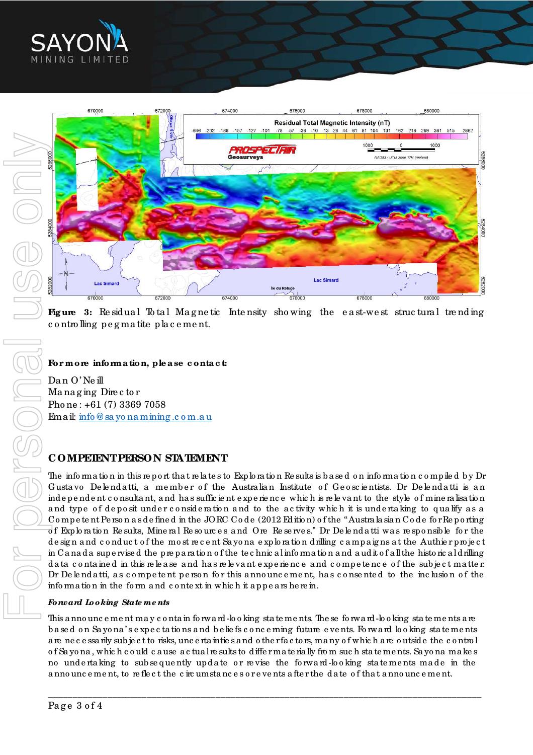



**Figure** 3: Residual Total Magnetic Intensity showing the east-west structural trending controlling pegmatite placement.

## For more information, please contact:

Dan O'Neill Managing Director Phone: +61 (7) 3369 7058 Email: info@sayonamining.com.au

# **COMPETENT PERSON STATEMENT**

The information in this report that relates to Exploration Results is based on information compiled by Dr Gustavo Delendatti, a member of the Australian Institute of Geoscientists. Dr Delendatti is an independent consultant, and has sufficient experience which is relevant to the style of mineralisation and type of deposit under consideration and to the activity which it is undertaking to qualify as a Competent Person as defined in the JORC Code (2012 Edition) of the "Australa sian Code for Reporting of Exploration Results, Mineral Resources and Ore Reserves." Dr Delendatti was responsible for the design and conduct of the most recent Sayona exploration drilling campaigns at the Authier project in Canada supervised the preparation of the technical information and audit of all the historical drilling data contained in this release and has relevant experience and competence of the subject matter. Dr De lendatti, as competent person for this announcement, has consented to the inclusion of the information in the form and context in which it appears here in.

## Forward Looking State ments

This a nno unce ment may contain forward-looking statements. The se forward-looking statements are based on Sayona's expectations and beliefs concerning future events. Forward looking statements are necessarily subject to risks, uncertainties and other factors, many of which are outside the control of Sayona, which could cause actual results to differmate rially from such statements. Sayona makes no undertaking to subsequently update or revise the forward-looking statements made in the announcement, to reflect the circumstances or events after the date of that announcement.